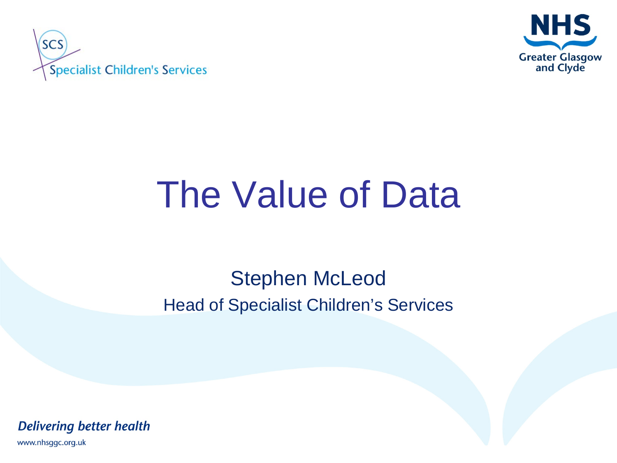



# The Value of Data

### Stephen McLeod Head of Specialist Children's Services

**Delivering better health** 

www.nhsggc.org.uk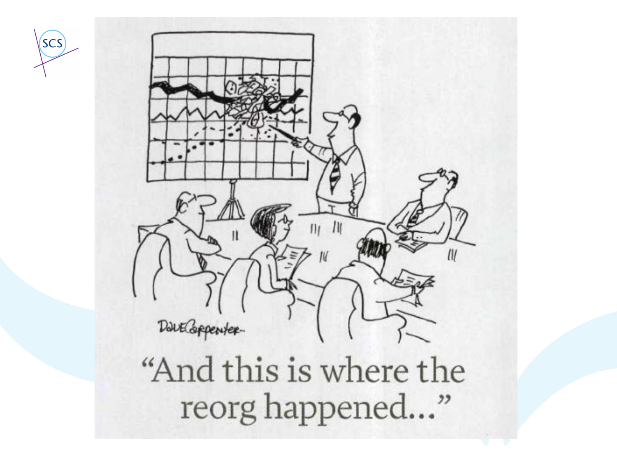



"And this is where the reorg happened..."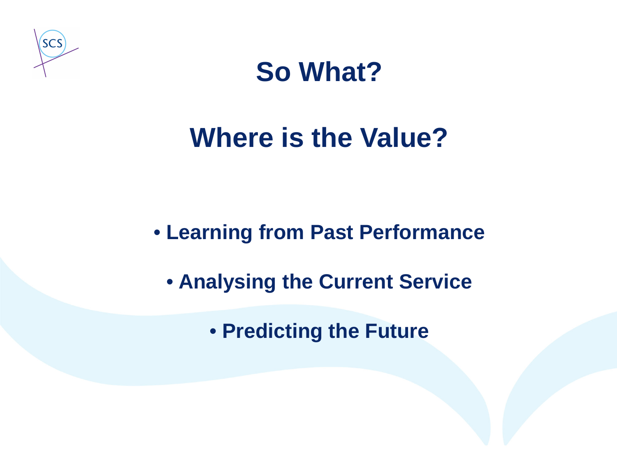



### **Where is the Value?**

• **Learning from Past Performance**

• **Analysing the Current Service**

• **Predicting the Future**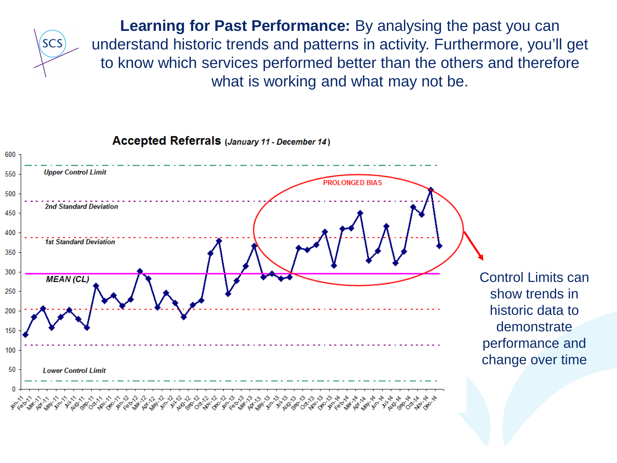

**Learning for Past Performance:** By analysing the past you can understand historic trends and patterns in activity. Furthermore, you'll get to know which services performed better than the others and therefore what is working and what may not be.



Accepted Referrals (January 11 - December 14)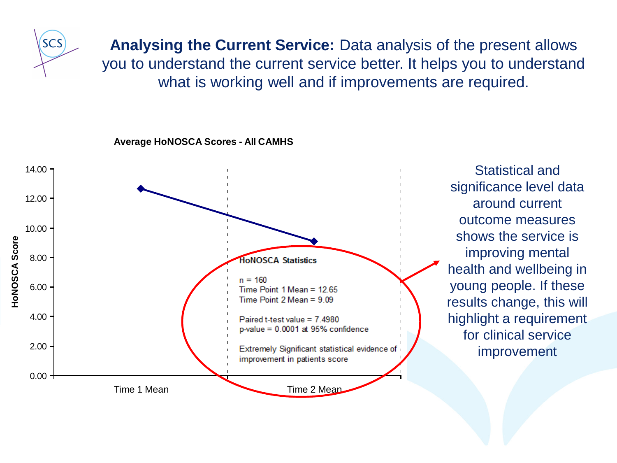

**Analysing the Current Service:** Data analysis of the present allows you to understand the current service better. It helps you to understand what is working well and if improvements are required.

**Average HoNOSCA Scores - All CAMHS**



Statistical and significance level data around current outcome measures shows the service is improving mental health and wellbeing in young people. If these results change, this will highlight a requirement for clinical service improvement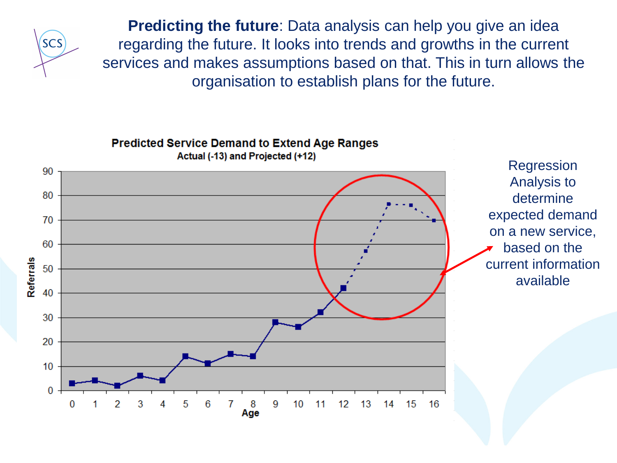

**Predicting the future**: Data analysis can help you give an idea regarding the future. It looks into trends and growths in the current services and makes assumptions based on that. This in turn allows the organisation to establish plans for the future.

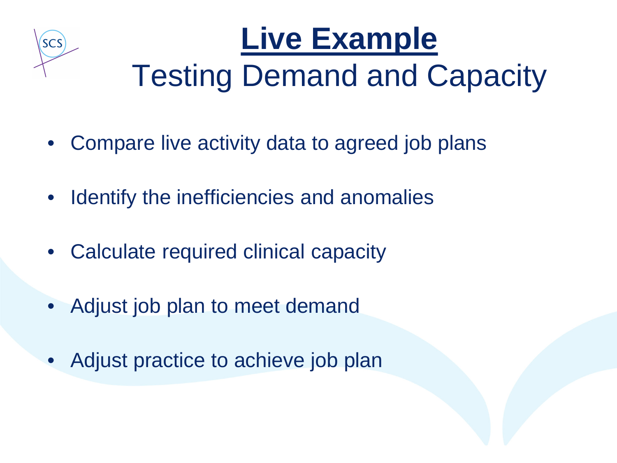

## **Live Example** Testing Demand and Capacity

- Compare live activity data to agreed job plans
- Identify the inefficiencies and anomalies
- Calculate required clinical capacity
- Adjust job plan to meet demand
- Adjust practice to achieve job plan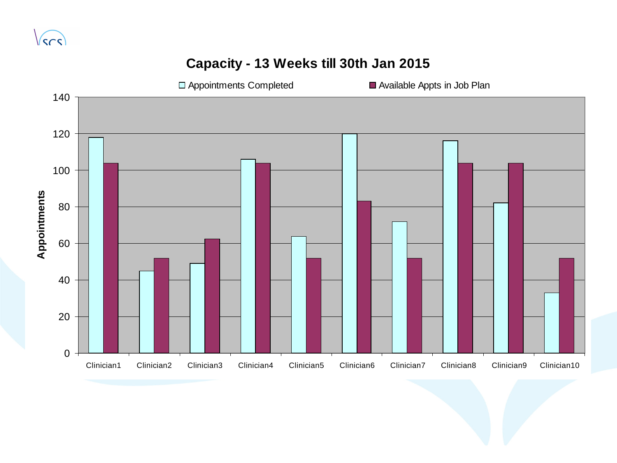#### **Capacity - 13 Weeks till 30th Jan 2015**

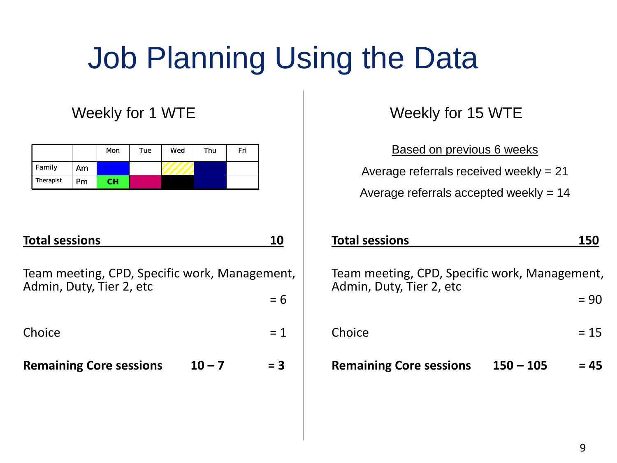### Job Planning Using the Data

#### Weekly for 1 WTE

|           |     | Mon       | Tue | Wed | Thu | Fri |
|-----------|-----|-----------|-----|-----|-----|-----|
| Family    | Am. |           |     |     |     |     |
| Therapist | Pm  | <b>CH</b> |     |     |     |     |

#### **Total sessions 10**

Team meeting, CPD, Specific work, Management, Admin, Duty, Tier 2, etc = 6

 $Choice = 1$ 

**Remaining Core sessions 10 – 7 = 3**

Weekly for 15 WTE

Based on previous 6 weeks

Average referrals received weekly = 21

Average referrals accepted weekly = 14

| <b>Total sessions</b>                                                     |             | <b>150</b> |
|---------------------------------------------------------------------------|-------------|------------|
| Team meeting, CPD, Specific work, Management,<br>Admin, Duty, Tier 2, etc |             |            |
|                                                                           |             | $= 90$     |
| Choice                                                                    |             | $= 15$     |
| <b>Remaining Core sessions</b>                                            | $150 - 105$ | = 45       |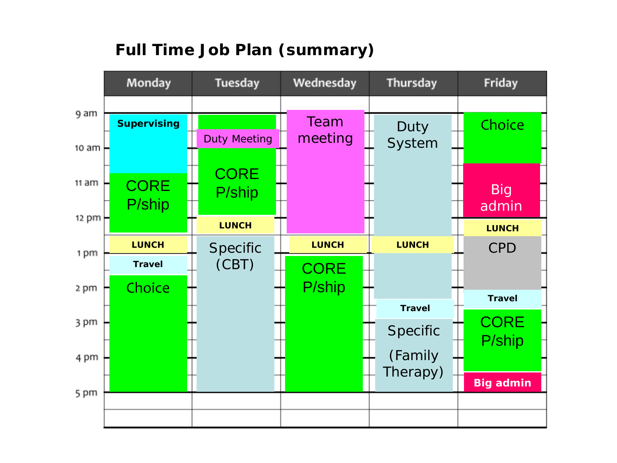#### **Full Time Job Plan (summary)**

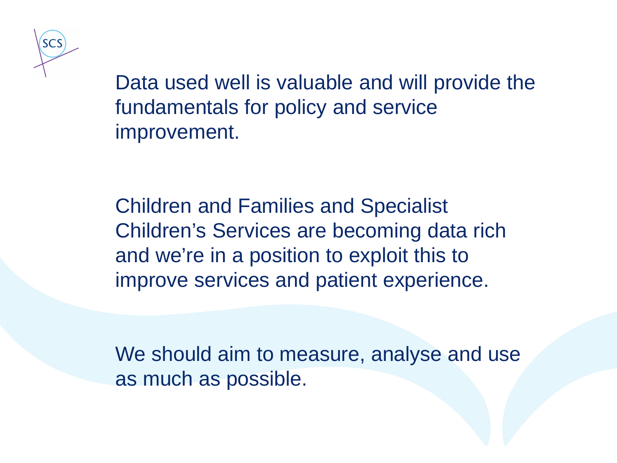

Data used well is valuable and will provide the fundamentals for policy and service improvement.

Children and Families and Specialist Children's Services are becoming data rich and we're in a position to exploit this to improve services and patient experience.

We should aim to measure, analyse and use as much as possible.